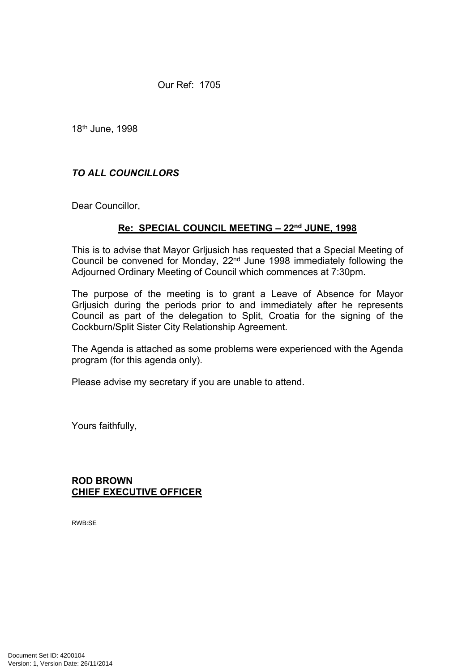Our Ref: 1705

18th June, 1998

### *TO ALL COUNCILLORS*

Dear Councillor,

#### **Re: SPECIAL COUNCIL MEETING – 22nd JUNE, 1998**

This is to advise that Mayor Grljusich has requested that a Special Meeting of Council be convened for Monday, 22nd June 1998 immediately following the Adjourned Ordinary Meeting of Council which commences at 7:30pm.

The purpose of the meeting is to grant a Leave of Absence for Mayor Grljusich during the periods prior to and immediately after he represents Council as part of the delegation to Split, Croatia for the signing of the Cockburn/Split Sister City Relationship Agreement.

The Agenda is attached as some problems were experienced with the Agenda program (for this agenda only).

Please advise my secretary if you are unable to attend.

Yours faithfully,

#### **ROD BROWN CHIEF EXECUTIVE OFFICER**

RWB:SE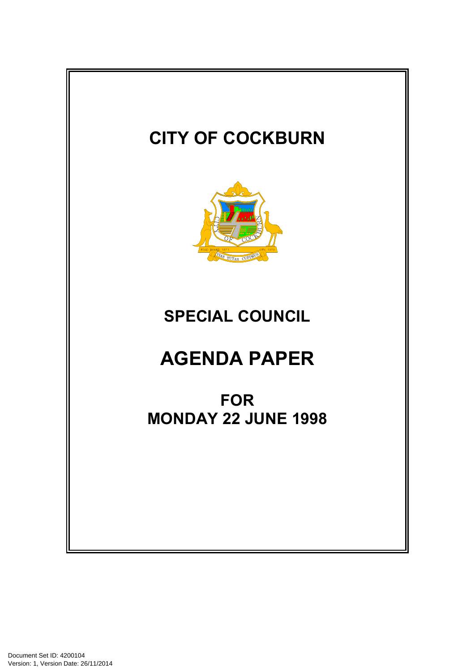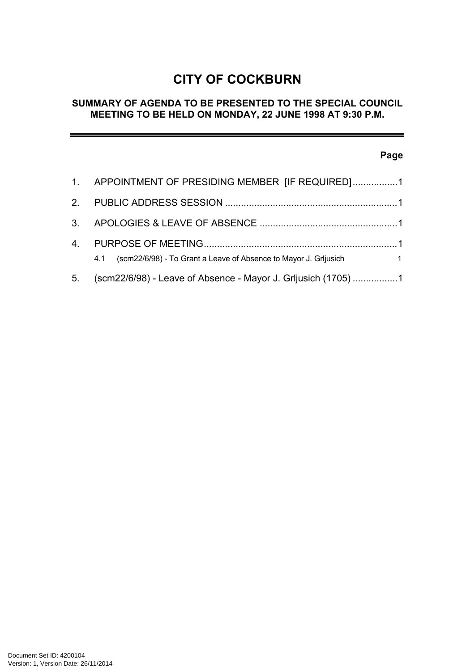# **CITY OF COCKBURN**

#### **SUMMARY OF AGENDA TO BE PRESENTED TO THE SPECIAL COUNCIL MEETING TO BE HELD ON MONDAY, 22 JUNE 1998 AT 9:30 P.M.**

### **Page**

 $\equiv$ 

| 1. APPOINTMENT OF PRESIDING MEMBER [IF REQUIRED]1                                |  |
|----------------------------------------------------------------------------------|--|
|                                                                                  |  |
|                                                                                  |  |
|                                                                                  |  |
| 4.1 (scm22/6/98) - To Grant a Leave of Absence to Mayor J. Grijusich<br>$\sim$ 1 |  |
| 5. (scm22/6/98) - Leave of Absence - Mayor J. Grijusich (1705) 1                 |  |

 $\equiv$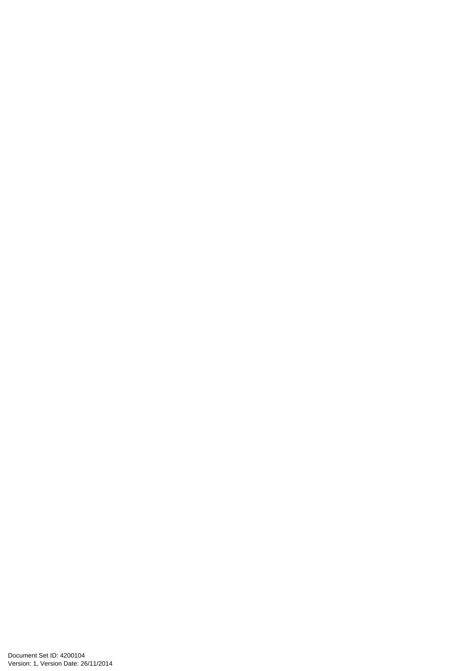Document Set ID: 4200104<br>Version: 1, Version Date: 26/11/2014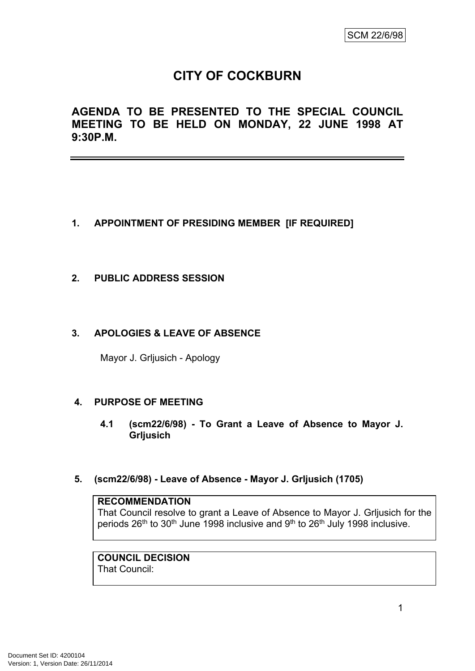## **CITY OF COCKBURN**

## **AGENDA TO BE PRESENTED TO THE SPECIAL COUNCIL MEETING TO BE HELD ON MONDAY, 22 JUNE 1998 AT 9:30P.M.**

## <span id="page-4-0"></span>**1. APPOINTMENT OF PRESIDING MEMBER [IF REQUIRED]**

#### <span id="page-4-1"></span>**2. PUBLIC ADDRESS SESSION**

#### <span id="page-4-2"></span>**3. APOLOGIES & LEAVE OF ABSENCE**

Mayor J. Grljusich - Apology

#### <span id="page-4-3"></span>**4. PURPOSE OF MEETING**

- <span id="page-4-4"></span>**4.1 (scm22/6/98) - To Grant a Leave of Absence to Mayor J. Grljusich**
- <span id="page-4-5"></span>**5. (scm22/6/98) - Leave of Absence - Mayor J. Grljusich (1705)**

#### **RECOMMENDATION**

That Council resolve to grant a Leave of Absence to Mayor J. Grljusich for the periods 26<sup>th</sup> to 30<sup>th</sup> June 1998 inclusive and 9<sup>th</sup> to 26<sup>th</sup> July 1998 inclusive.

## **COUNCIL DECISION**

That Council: